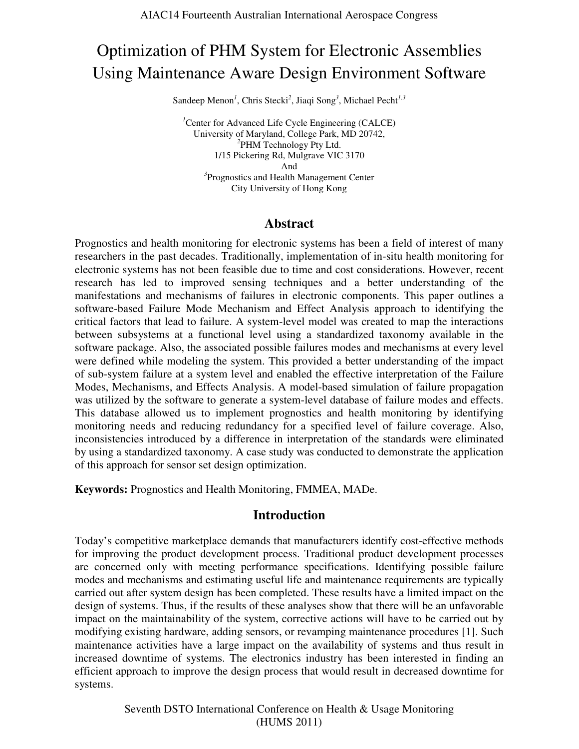# Optimization of PHM System for Electronic Assemblies Using Maintenance Aware Design Environment Software

Sandeep Menon<sup>1</sup>, Chris Stecki<sup>2</sup>, Jiaqi Song<sup>3</sup>, Michael Pecht<sup>1,3</sup>

<sup>*1*</sup>Center for Advanced Life Cycle Engineering (CALCE) University of Maryland, College Park, MD 20742, *2* PHM Technology Pty Ltd. 1/15 Pickering Rd, Mulgrave VIC 3170 And *3* Prognostics and Health Management Center City University of Hong Kong

### **Abstract**

Prognostics and health monitoring for electronic systems has been a field of interest of many researchers in the past decades. Traditionally, implementation of in-situ health monitoring for electronic systems has not been feasible due to time and cost considerations. However, recent research has led to improved sensing techniques and a better understanding of the manifestations and mechanisms of failures in electronic components. This paper outlines a software-based Failure Mode Mechanism and Effect Analysis approach to identifying the critical factors that lead to failure. A system-level model was created to map the interactions between subsystems at a functional level using a standardized taxonomy available in the software package. Also, the associated possible failures modes and mechanisms at every level were defined while modeling the system. This provided a better understanding of the impact of sub-system failure at a system level and enabled the effective interpretation of the Failure Modes, Mechanisms, and Effects Analysis. A model-based simulation of failure propagation was utilized by the software to generate a system-level database of failure modes and effects. This database allowed us to implement prognostics and health monitoring by identifying monitoring needs and reducing redundancy for a specified level of failure coverage. Also, inconsistencies introduced by a difference in interpretation of the standards were eliminated by using a standardized taxonomy. A case study was conducted to demonstrate the application of this approach for sensor set design optimization.

**Keywords:** Prognostics and Health Monitoring, FMMEA, MADe.

### **Introduction**

Today's competitive marketplace demands that manufacturers identify cost-effective methods for improving the product development process. Traditional product development processes are concerned only with meeting performance specifications. Identifying possible failure modes and mechanisms and estimating useful life and maintenance requirements are typically carried out after system design has been completed. These results have a limited impact on the design of systems. Thus, if the results of these analyses show that there will be an unfavorable impact on the maintainability of the system, corrective actions will have to be carried out by modifying existing hardware, adding sensors, or revamping maintenance procedures [1]. Such maintenance activities have a large impact on the availability of systems and thus result in increased downtime of systems. The electronics industry has been interested in finding an efficient approach to improve the design process that would result in decreased downtime for systems.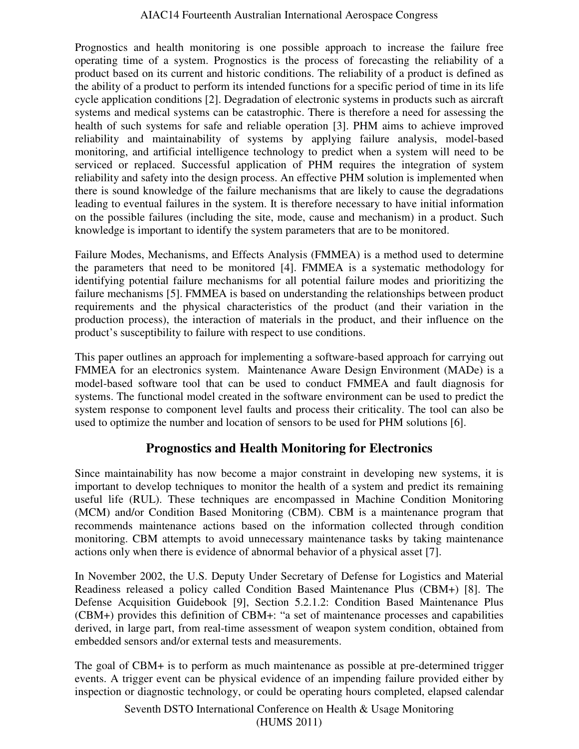Prognostics and health monitoring is one possible approach to increase the failure free operating time of a system. Prognostics is the process of forecasting the reliability of a product based on its current and historic conditions. The reliability of a product is defined as the ability of a product to perform its intended functions for a specific period of time in its life cycle application conditions [2]. Degradation of electronic systems in products such as aircraft systems and medical systems can be catastrophic. There is therefore a need for assessing the health of such systems for safe and reliable operation [3]. PHM aims to achieve improved reliability and maintainability of systems by applying failure analysis, model-based monitoring, and artificial intelligence technology to predict when a system will need to be serviced or replaced. Successful application of PHM requires the integration of system reliability and safety into the design process. An effective PHM solution is implemented when there is sound knowledge of the failure mechanisms that are likely to cause the degradations leading to eventual failures in the system. It is therefore necessary to have initial information on the possible failures (including the site, mode, cause and mechanism) in a product. Such knowledge is important to identify the system parameters that are to be monitored.

Failure Modes, Mechanisms, and Effects Analysis (FMMEA) is a method used to determine the parameters that need to be monitored [4]. FMMEA is a systematic methodology for identifying potential failure mechanisms for all potential failure modes and prioritizing the failure mechanisms [5]. FMMEA is based on understanding the relationships between product requirements and the physical characteristics of the product (and their variation in the production process), the interaction of materials in the product, and their influence on the product's susceptibility to failure with respect to use conditions.

This paper outlines an approach for implementing a software-based approach for carrying out FMMEA for an electronics system. Maintenance Aware Design Environment (MADe) is a model-based software tool that can be used to conduct FMMEA and fault diagnosis for systems. The functional model created in the software environment can be used to predict the system response to component level faults and process their criticality. The tool can also be used to optimize the number and location of sensors to be used for PHM solutions [6].

# **Prognostics and Health Monitoring for Electronics**

Since maintainability has now become a major constraint in developing new systems, it is important to develop techniques to monitor the health of a system and predict its remaining useful life (RUL). These techniques are encompassed in Machine Condition Monitoring (MCM) and/or Condition Based Monitoring (CBM). CBM is a maintenance program that recommends maintenance actions based on the information collected through condition monitoring. CBM attempts to avoid unnecessary maintenance tasks by taking maintenance actions only when there is evidence of abnormal behavior of a physical asset [7].

In November 2002, the U.S. Deputy Under Secretary of Defense for Logistics and Material Readiness released a policy called Condition Based Maintenance Plus (CBM+) [8]. The Defense Acquisition Guidebook [9], Section 5.2.1.2: Condition Based Maintenance Plus (CBM+) provides this definition of CBM+: "a set of maintenance processes and capabilities derived, in large part, from real-time assessment of weapon system condition, obtained from embedded sensors and/or external tests and measurements.

The goal of CBM+ is to perform as much maintenance as possible at pre-determined trigger events. A trigger event can be physical evidence of an impending failure provided either by inspection or diagnostic technology, or could be operating hours completed, elapsed calendar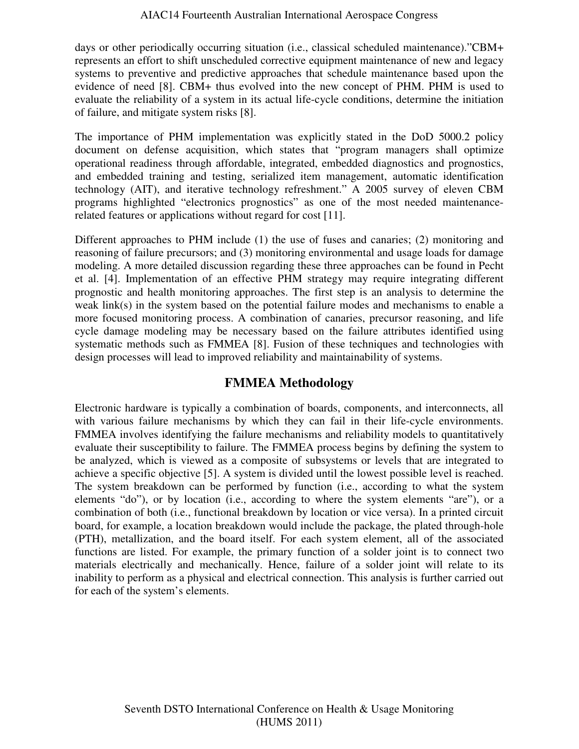days or other periodically occurring situation (i.e., classical scheduled maintenance)."CBM+ represents an effort to shift unscheduled corrective equipment maintenance of new and legacy systems to preventive and predictive approaches that schedule maintenance based upon the evidence of need [8]. CBM+ thus evolved into the new concept of PHM. PHM is used to evaluate the reliability of a system in its actual life-cycle conditions, determine the initiation of failure, and mitigate system risks [8].

The importance of PHM implementation was explicitly stated in the DoD 5000.2 policy document on defense acquisition, which states that "program managers shall optimize operational readiness through affordable, integrated, embedded diagnostics and prognostics, and embedded training and testing, serialized item management, automatic identification technology (AIT), and iterative technology refreshment." A 2005 survey of eleven CBM programs highlighted "electronics prognostics" as one of the most needed maintenancerelated features or applications without regard for cost [11].

Different approaches to PHM include (1) the use of fuses and canaries; (2) monitoring and reasoning of failure precursors; and (3) monitoring environmental and usage loads for damage modeling. A more detailed discussion regarding these three approaches can be found in Pecht et al. [4]. Implementation of an effective PHM strategy may require integrating different prognostic and health monitoring approaches. The first step is an analysis to determine the weak link(s) in the system based on the potential failure modes and mechanisms to enable a more focused monitoring process. A combination of canaries, precursor reasoning, and life cycle damage modeling may be necessary based on the failure attributes identified using systematic methods such as FMMEA [8]. Fusion of these techniques and technologies with design processes will lead to improved reliability and maintainability of systems.

# **FMMEA Methodology**

Electronic hardware is typically a combination of boards, components, and interconnects, all with various failure mechanisms by which they can fail in their life-cycle environments. FMMEA involves identifying the failure mechanisms and reliability models to quantitatively evaluate their susceptibility to failure. The FMMEA process begins by defining the system to be analyzed, which is viewed as a composite of subsystems or levels that are integrated to achieve a specific objective [5]. A system is divided until the lowest possible level is reached. The system breakdown can be performed by function (i.e., according to what the system elements "do"), or by location (i.e., according to where the system elements "are"), or a combination of both (i.e., functional breakdown by location or vice versa). In a printed circuit board, for example, a location breakdown would include the package, the plated through-hole (PTH), metallization, and the board itself. For each system element, all of the associated functions are listed. For example, the primary function of a solder joint is to connect two materials electrically and mechanically. Hence, failure of a solder joint will relate to its inability to perform as a physical and electrical connection. This analysis is further carried out for each of the system's elements.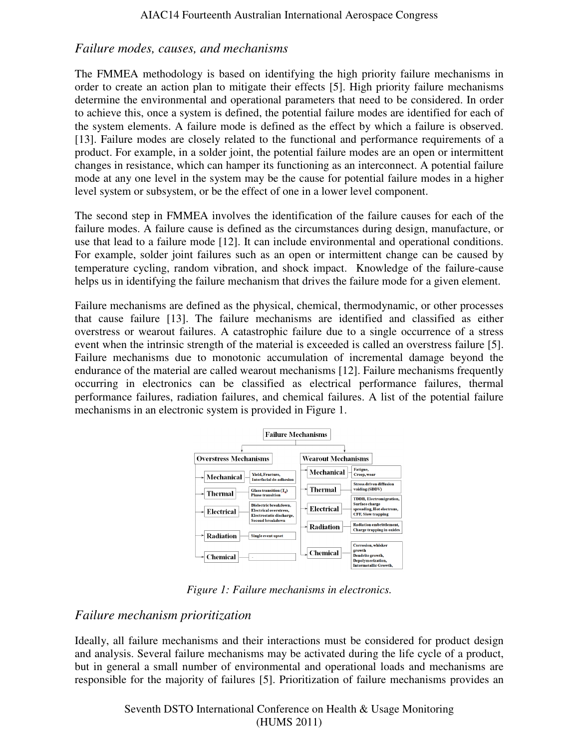## *Failure modes, causes, and mechanisms*

The FMMEA methodology is based on identifying the high priority failure mechanisms in order to create an action plan to mitigate their effects [5]. High priority failure mechanisms determine the environmental and operational parameters that need to be considered. In order to achieve this, once a system is defined, the potential failure modes are identified for each of the system elements. A failure mode is defined as the effect by which a failure is observed. [13]. Failure modes are closely related to the functional and performance requirements of a product. For example, in a solder joint, the potential failure modes are an open or intermittent changes in resistance, which can hamper its functioning as an interconnect. A potential failure mode at any one level in the system may be the cause for potential failure modes in a higher level system or subsystem, or be the effect of one in a lower level component.

The second step in FMMEA involves the identification of the failure causes for each of the failure modes. A failure cause is defined as the circumstances during design, manufacture, or use that lead to a failure mode [12]. It can include environmental and operational conditions. For example, solder joint failures such as an open or intermittent change can be caused by temperature cycling, random vibration, and shock impact. Knowledge of the failure-cause helps us in identifying the failure mechanism that drives the failure mode for a given element.

Failure mechanisms are defined as the physical, chemical, thermodynamic, or other processes that cause failure [13]. The failure mechanisms are identified and classified as either overstress or wearout failures. A catastrophic failure due to a single occurrence of a stress event when the intrinsic strength of the material is exceeded is called an overstress failure [5]. Failure mechanisms due to monotonic accumulation of incremental damage beyond the endurance of the material are called wearout mechanisms [12]. Failure mechanisms frequently occurring in electronics can be classified as electrical performance failures, thermal performance failures, radiation failures, and chemical failures. A list of the potential failure mechanisms in an electronic system is provided in Figure 1.



*Figure 1: Failure mechanisms in electronics.* 

# *Failure mechanism prioritization*

Ideally, all failure mechanisms and their interactions must be considered for product design and analysis. Several failure mechanisms may be activated during the life cycle of a product, but in general a small number of environmental and operational loads and mechanisms are responsible for the majority of failures [5]. Prioritization of failure mechanisms provides an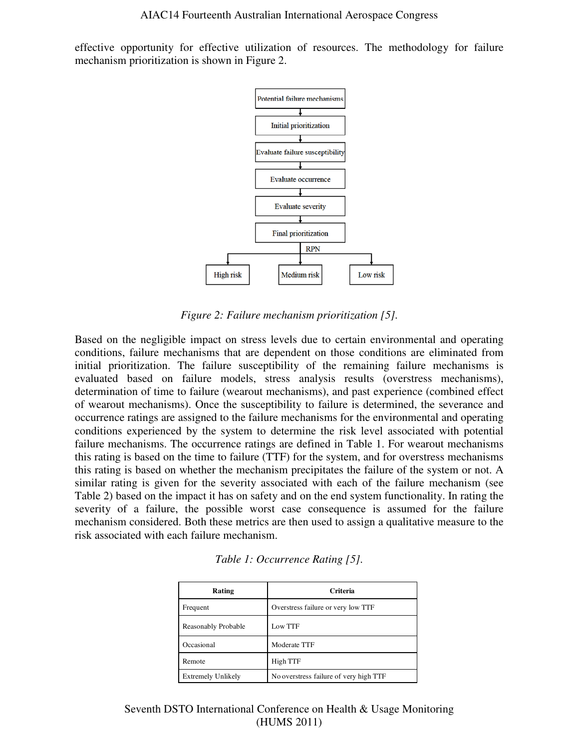effective opportunity for effective utilization of resources. The methodology for failure mechanism prioritization is shown in Figure 2.



*Figure 2: Failure mechanism prioritization [5].* 

Based on the negligible impact on stress levels due to certain environmental and operating conditions, failure mechanisms that are dependent on those conditions are eliminated from initial prioritization. The failure susceptibility of the remaining failure mechanisms is evaluated based on failure models, stress analysis results (overstress mechanisms), determination of time to failure (wearout mechanisms), and past experience (combined effect of wearout mechanisms). Once the susceptibility to failure is determined, the severance and occurrence ratings are assigned to the failure mechanisms for the environmental and operating conditions experienced by the system to determine the risk level associated with potential failure mechanisms. The occurrence ratings are defined in Table 1. For wearout mechanisms this rating is based on the time to failure (TTF) for the system, and for overstress mechanisms this rating is based on whether the mechanism precipitates the failure of the system or not. A similar rating is given for the severity associated with each of the failure mechanism (see Table 2) based on the impact it has on safety and on the end system functionality. In rating the severity of a failure, the possible worst case consequence is assumed for the failure mechanism considered. Both these metrics are then used to assign a qualitative measure to the risk associated with each failure mechanism.

| Rating                    | Criteria                               |
|---------------------------|----------------------------------------|
| Frequent                  | Overstress failure or very low TTF     |
| Reasonably Probable       | Low TTF                                |
| Occasional                | Moderate TTF                           |
| Remote                    | High TTF                               |
| <b>Extremely Unlikely</b> | No overstress failure of very high TTF |

|  | Table 1: Occurrence Rating [5]. |  |  |
|--|---------------------------------|--|--|
|--|---------------------------------|--|--|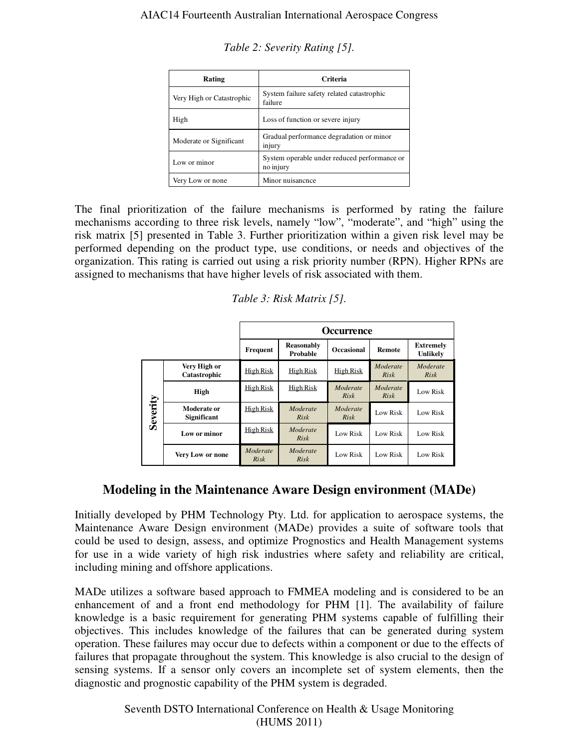| Rating                    | Criteria                                                  |
|---------------------------|-----------------------------------------------------------|
| Very High or Catastrophic | System failure safety related catastrophic<br>failure     |
| High                      | Loss of function or severe injury                         |
| Moderate or Significant   | Gradual performance degradation or minor<br>injury        |
| Low or minor              | System operable under reduced performance or<br>no injury |
| Very Low or none          | Minor nuisancnce                                          |

*Table 2: Severity Rating [5].* 

The final prioritization of the failure mechanisms is performed by rating the failure mechanisms according to three risk levels, namely "low", "moderate", and "high" using the risk matrix [5] presented in Table 3. Further prioritization within a given risk level may be performed depending on the product type, use conditions, or needs and objectives of the organization. This rating is carried out using a risk priority number (RPN). Higher RPNs are assigned to mechanisms that have higher levels of risk associated with them.

*Table 3: Risk Matrix [5].* 

|          |                                   | <b>Occurrence</b>       |                        |                   |                         |                                |
|----------|-----------------------------------|-------------------------|------------------------|-------------------|-------------------------|--------------------------------|
|          |                                   | Frequent                | Reasonably<br>Probable | <b>Occasional</b> | <b>Remote</b>           | <b>Extremely</b><br>Unlikely   |
|          | Very High or<br>Catastrophic      | High Risk               | High Risk              | High Risk         | Moderate<br><b>Risk</b> | <b>Moderate</b><br><b>Risk</b> |
|          | High                              | High Risk               | <b>High Risk</b>       | Moderate<br>Risk  | Moderate<br>Risk        | Low Risk                       |
| Severity | Moderate or<br><b>Significant</b> | High Risk               | Moderate<br>Risk       | Moderate<br>Risk  | Low Risk                | Low Risk                       |
|          | Low or minor                      | <b>High Risk</b>        | Moderate<br>Risk       | Low Risk          | Low Risk                | Low Risk                       |
|          | Very Low or none                  | Moderate<br><b>Risk</b> | Moderate<br>Risk       | Low Risk          | Low Risk                | Low Risk                       |

# **Modeling in the Maintenance Aware Design environment (MADe)**

Initially developed by PHM Technology Pty. Ltd. for application to aerospace systems, the Maintenance Aware Design environment (MADe) provides a suite of software tools that could be used to design, assess, and optimize Prognostics and Health Management systems for use in a wide variety of high risk industries where safety and reliability are critical, including mining and offshore applications.

MADe utilizes a software based approach to FMMEA modeling and is considered to be an enhancement of and a front end methodology for PHM [1]. The availability of failure knowledge is a basic requirement for generating PHM systems capable of fulfilling their objectives. This includes knowledge of the failures that can be generated during system operation. These failures may occur due to defects within a component or due to the effects of failures that propagate throughout the system. This knowledge is also crucial to the design of sensing systems. If a sensor only covers an incomplete set of system elements, then the diagnostic and prognostic capability of the PHM system is degraded.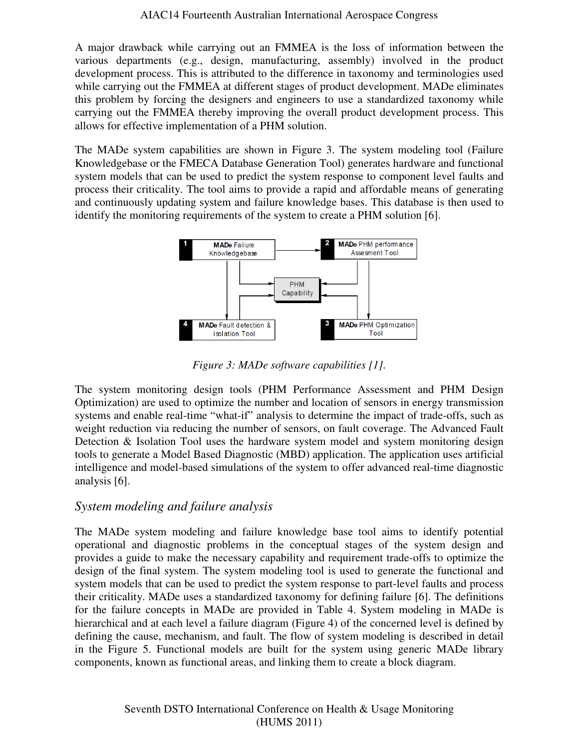A major drawback while carrying out an FMMEA is the loss of information between the various departments (e.g., design, manufacturing, assembly) involved in the product development process. This is attributed to the difference in taxonomy and terminologies used while carrying out the FMMEA at different stages of product development. MADe eliminates this problem by forcing the designers and engineers to use a standardized taxonomy while carrying out the FMMEA thereby improving the overall product development process. This allows for effective implementation of a PHM solution.

The MADe system capabilities are shown in Figure 3. The system modeling tool (Failure Knowledgebase or the FMECA Database Generation Tool) generates hardware and functional system models that can be used to predict the system response to component level faults and process their criticality. The tool aims to provide a rapid and affordable means of generating and continuously updating system and failure knowledge bases. This database is then used to identify the monitoring requirements of the system to create a PHM solution [6].



*Figure 3: MADe software capabilities [1].* 

The system monitoring design tools (PHM Performance Assessment and PHM Design Optimization) are used to optimize the number and location of sensors in energy transmission systems and enable real-time "what-if" analysis to determine the impact of trade-offs, such as weight reduction via reducing the number of sensors, on fault coverage. The Advanced Fault Detection & Isolation Tool uses the hardware system model and system monitoring design tools to generate a Model Based Diagnostic (MBD) application. The application uses artificial intelligence and model-based simulations of the system to offer advanced real-time diagnostic analysis [6].

# *System modeling and failure analysis*

The MADe system modeling and failure knowledge base tool aims to identify potential operational and diagnostic problems in the conceptual stages of the system design and provides a guide to make the necessary capability and requirement trade-offs to optimize the design of the final system. The system modeling tool is used to generate the functional and system models that can be used to predict the system response to part-level faults and process their criticality. MADe uses a standardized taxonomy for defining failure [6]. The definitions for the failure concepts in MADe are provided in Table 4. System modeling in MADe is hierarchical and at each level a failure diagram (Figure 4) of the concerned level is defined by defining the cause, mechanism, and fault. The flow of system modeling is described in detail in the Figure 5. Functional models are built for the system using generic MADe library components, known as functional areas, and linking them to create a block diagram.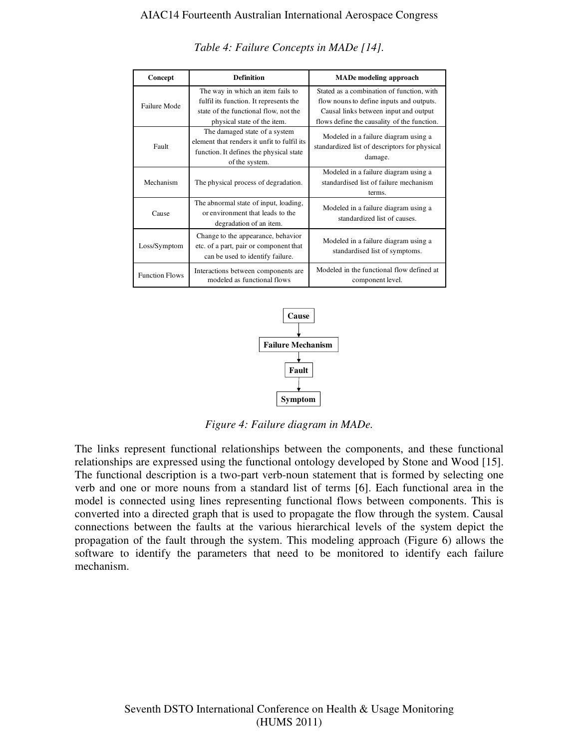#### AIAC14 Fourteenth Australian International Aerospace Congress

| Concept               | <b>Definition</b>                                                                                                                                   | <b>MADe modeling approach</b>                                                                                                                                                 |  |  |
|-----------------------|-----------------------------------------------------------------------------------------------------------------------------------------------------|-------------------------------------------------------------------------------------------------------------------------------------------------------------------------------|--|--|
| <b>Failure Mode</b>   | The way in which an item fails to<br>fulfil its function. It represents the<br>state of the functional flow, not the<br>physical state of the item. | Stated as a combination of function, with<br>flow nouns to define inputs and outputs.<br>Causal links between input and output<br>flows define the causality of the function. |  |  |
| Fault                 | The damaged state of a system<br>element that renders it unfit to fulfil its<br>function. It defines the physical state<br>of the system.           | Modeled in a failure diagram using a<br>standardized list of descriptors for physical<br>damage.                                                                              |  |  |
| Mechanism             | The physical process of degradation.                                                                                                                | Modeled in a failure diagram using a<br>standardised list of failure mechanism<br>terms.                                                                                      |  |  |
| Cause                 | The abnormal state of input, loading,<br>or environment that leads to the<br>degradation of an item.                                                | Modeled in a failure diagram using a<br>standardized list of causes.                                                                                                          |  |  |
| Loss/Symptom          | Change to the appearance, behavior<br>etc. of a part, pair or component that<br>can be used to identify failure.                                    | Modeled in a failure diagram using a<br>standardised list of symptoms.                                                                                                        |  |  |
| <b>Function Flows</b> | Interactions between components are<br>modeled as functional flows                                                                                  | Modeled in the functional flow defined at<br>component level.                                                                                                                 |  |  |

*Table 4: Failure Concepts in MADe [14].* 



*Figure 4: Failure diagram in MADe.* 

The links represent functional relationships between the components, and these functional relationships are expressed using the functional ontology developed by Stone and Wood [15]. The functional description is a two-part verb-noun statement that is formed by selecting one verb and one or more nouns from a standard list of terms [6]. Each functional area in the model is connected using lines representing functional flows between components. This is converted into a directed graph that is used to propagate the flow through the system. Causal connections between the faults at the various hierarchical levels of the system depict the propagation of the fault through the system. This modeling approach (Figure 6) allows the software to identify the parameters that need to be monitored to identify each failure mechanism.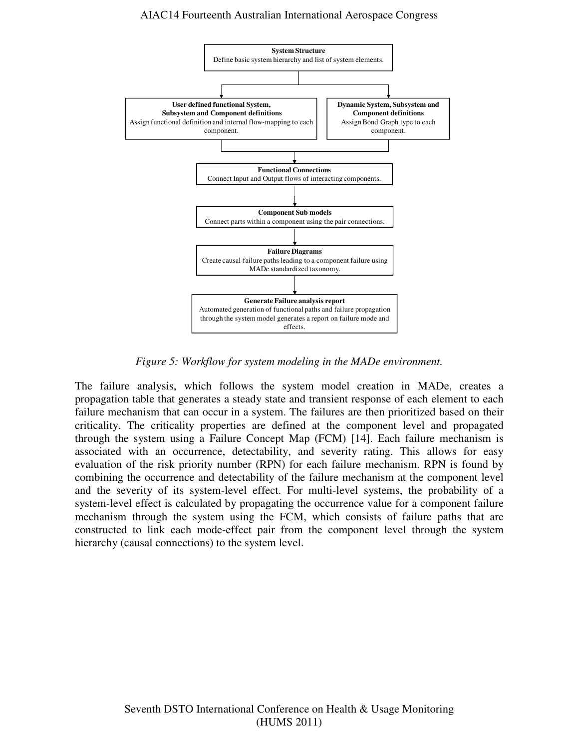#### AIAC14 Fourteenth Australian International Aerospace Congress



*Figure 5: Workflow for system modeling in the MADe environment.* 

The failure analysis, which follows the system model creation in MADe, creates a propagation table that generates a steady state and transient response of each element to each failure mechanism that can occur in a system. The failures are then prioritized based on their criticality. The criticality properties are defined at the component level and propagated through the system using a Failure Concept Map (FCM) [14]. Each failure mechanism is associated with an occurrence, detectability, and severity rating. This allows for easy evaluation of the risk priority number (RPN) for each failure mechanism. RPN is found by combining the occurrence and detectability of the failure mechanism at the component level and the severity of its system-level effect. For multi-level systems, the probability of a system-level effect is calculated by propagating the occurrence value for a component failure mechanism through the system using the FCM, which consists of failure paths that are constructed to link each mode-effect pair from the component level through the system hierarchy (causal connections) to the system level.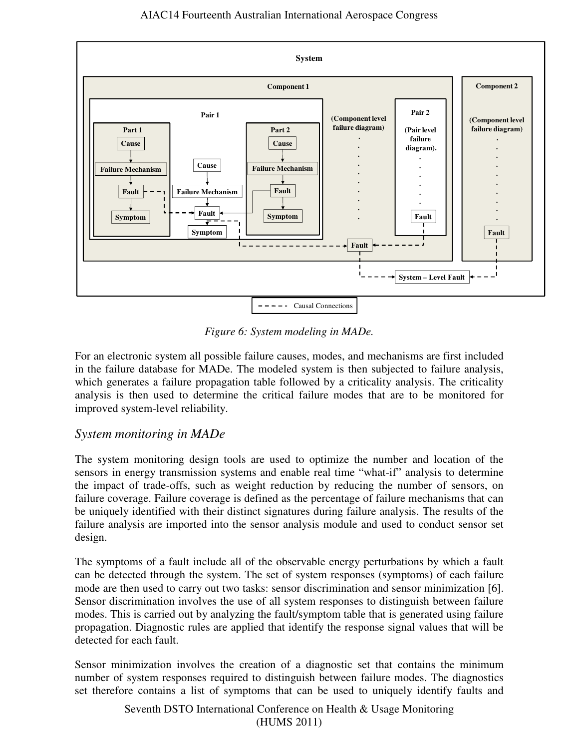

*Figure 6: System modeling in MADe.* 

For an electronic system all possible failure causes, modes, and mechanisms are first included in the failure database for MADe. The modeled system is then subjected to failure analysis, which generates a failure propagation table followed by a criticality analysis. The criticality analysis is then used to determine the critical failure modes that are to be monitored for improved system-level reliability.

# *System monitoring in MADe*

The system monitoring design tools are used to optimize the number and location of the sensors in energy transmission systems and enable real time "what-if" analysis to determine the impact of trade-offs, such as weight reduction by reducing the number of sensors, on failure coverage. Failure coverage is defined as the percentage of failure mechanisms that can be uniquely identified with their distinct signatures during failure analysis. The results of the failure analysis are imported into the sensor analysis module and used to conduct sensor set design.

The symptoms of a fault include all of the observable energy perturbations by which a fault can be detected through the system. The set of system responses (symptoms) of each failure mode are then used to carry out two tasks: sensor discrimination and sensor minimization [6]. Sensor discrimination involves the use of all system responses to distinguish between failure modes. This is carried out by analyzing the fault/symptom table that is generated using failure propagation. Diagnostic rules are applied that identify the response signal values that will be detected for each fault.

Sensor minimization involves the creation of a diagnostic set that contains the minimum number of system responses required to distinguish between failure modes. The diagnostics set therefore contains a list of symptoms that can be used to uniquely identify faults and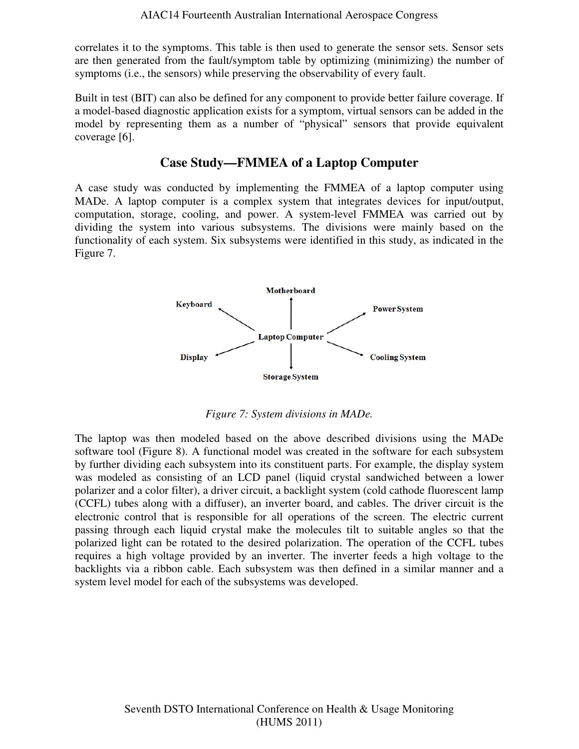correlates it to the symptoms. This table is then used to generate the sensor sets. Sensor sets are then generated from the fault/symptom table by optimizing (minimizing) the number of symptoms (i.e., the sensors) while preserving the observability of every fault.

Built in test (BIT) can also be defined for any component to provide better failure coverage. If a model-based diagnostic application exists for a symptom, virtual sensors can be added in the model by representing them as a number of "physical" sensors that provide equivalent coverage [6].

# **Case Study—FMMEA of a Laptop Computer**

A case study was conducted by implementing the FMMEA of a laptop computer using MADe. A laptop computer is a complex system that integrates devices for input/output, computation, storage, cooling, and power. A system-level FMMEA was carried out by dividing the system into various subsystems. The divisions were mainly based on the functionality of each system. Six subsystems were identified in this study, as indicated in the Figure 7.



*Figure 7: System divisions in MADe.* 

The laptop was then modeled based on the above described divisions using the MADe software tool (Figure 8). A functional model was created in the software for each subsystem by further dividing each subsystem into its constituent parts. For example, the display system was modeled as consisting of an LCD panel (liquid crystal sandwiched between a lower polarizer and a color filter), a driver circuit, a backlight system (cold cathode fluorescent lamp (CCFL) tubes along with a diffuser), an inverter board, and cables. The driver circuit is the electronic control that is responsible for all operations of the screen. The electric current passing through each liquid crystal make the molecules tilt to suitable angles so that the polarized light can be rotated to the desired polarization. The operation of the CCFL tubes requires a high voltage provided by an inverter. The inverter feeds a high voltage to the backlights via a ribbon cable. Each subsystem was then defined in a similar manner and a system level model for each of the subsystems was developed.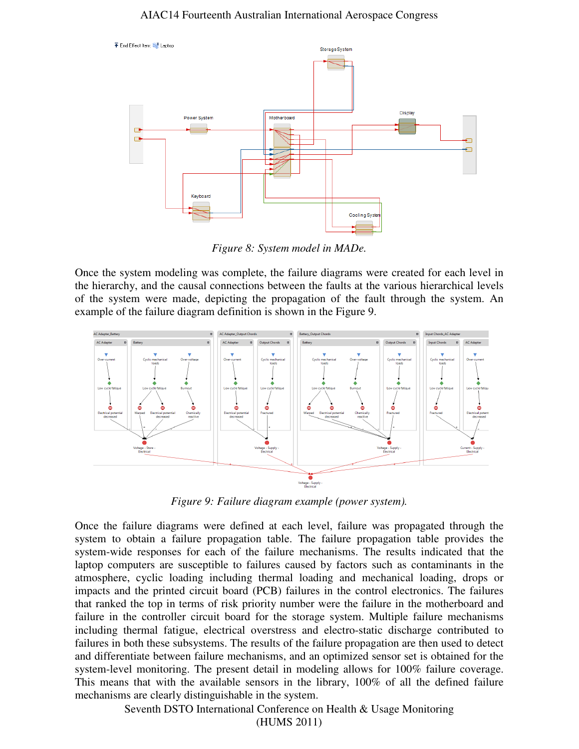#### AIAC14 Fourteenth Australian International Aerospace Congress



*Figure 8: System model in MADe.* 

Once the system modeling was complete, the failure diagrams were created for each level in the hierarchy, and the causal connections between the faults at the various hierarchical levels of the system were made, depicting the propagation of the fault through the system. An example of the failure diagram definition is shown in the Figure 9.



*Figure 9: Failure diagram example (power system).* 

Once the failure diagrams were defined at each level, failure was propagated through the system to obtain a failure propagation table. The failure propagation table provides the system-wide responses for each of the failure mechanisms. The results indicated that the laptop computers are susceptible to failures caused by factors such as contaminants in the atmosphere, cyclic loading including thermal loading and mechanical loading, drops or impacts and the printed circuit board (PCB) failures in the control electronics. The failures that ranked the top in terms of risk priority number were the failure in the motherboard and failure in the controller circuit board for the storage system. Multiple failure mechanisms including thermal fatigue, electrical overstress and electro-static discharge contributed to failures in both these subsystems. The results of the failure propagation are then used to detect and differentiate between failure mechanisms, and an optimized sensor set is obtained for the system-level monitoring. The present detail in modeling allows for 100% failure coverage. This means that with the available sensors in the library, 100% of all the defined failure mechanisms are clearly distinguishable in the system.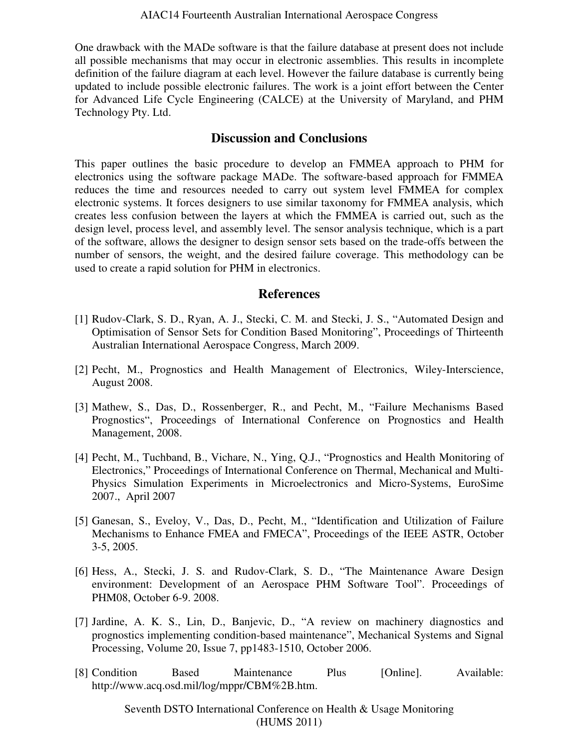One drawback with the MADe software is that the failure database at present does not include all possible mechanisms that may occur in electronic assemblies. This results in incomplete definition of the failure diagram at each level. However the failure database is currently being updated to include possible electronic failures. The work is a joint effort between the Center for Advanced Life Cycle Engineering (CALCE) at the University of Maryland, and PHM Technology Pty. Ltd.

### **Discussion and Conclusions**

This paper outlines the basic procedure to develop an FMMEA approach to PHM for electronics using the software package MADe. The software-based approach for FMMEA reduces the time and resources needed to carry out system level FMMEA for complex electronic systems. It forces designers to use similar taxonomy for FMMEA analysis, which creates less confusion between the layers at which the FMMEA is carried out, such as the design level, process level, and assembly level. The sensor analysis technique, which is a part of the software, allows the designer to design sensor sets based on the trade-offs between the number of sensors, the weight, and the desired failure coverage. This methodology can be used to create a rapid solution for PHM in electronics.

## **References**

- [1] Rudov-Clark, S. D., Ryan, A. J., Stecki, C. M. and Stecki, J. S., "Automated Design and Optimisation of Sensor Sets for Condition Based Monitoring", Proceedings of Thirteenth Australian International Aerospace Congress, March 2009.
- [2] Pecht, M., Prognostics and Health Management of Electronics, Wiley-Interscience, August 2008.
- [3] Mathew, S., Das, D., Rossenberger, R., and Pecht, M., "Failure Mechanisms Based Prognostics", Proceedings of International Conference on Prognostics and Health Management, 2008.
- [4] Pecht, M., Tuchband, B., Vichare, N., Ying, Q.J., "Prognostics and Health Monitoring of Electronics," Proceedings of International Conference on Thermal, Mechanical and Multi-Physics Simulation Experiments in Microelectronics and Micro-Systems, EuroSime 2007., April 2007
- [5] Ganesan, S., Eveloy, V., Das, D., Pecht, M., "Identification and Utilization of Failure Mechanisms to Enhance FMEA and FMECA", Proceedings of the IEEE ASTR, October 3-5, 2005.
- [6] Hess, A., Stecki, J. S. and Rudov-Clark, S. D., "The Maintenance Aware Design environment: Development of an Aerospace PHM Software Tool". Proceedings of PHM08, October 6-9. 2008.
- [7] Jardine, A. K. S., Lin, D., Banjevic, D., "A review on machinery diagnostics and prognostics implementing condition-based maintenance", Mechanical Systems and Signal Processing, Volume 20, Issue 7, pp1483-1510, October 2006.
- [8] Condition Based Maintenance Plus [Online]. Available: http://www.acq.osd.mil/log/mppr/CBM%2B.htm.